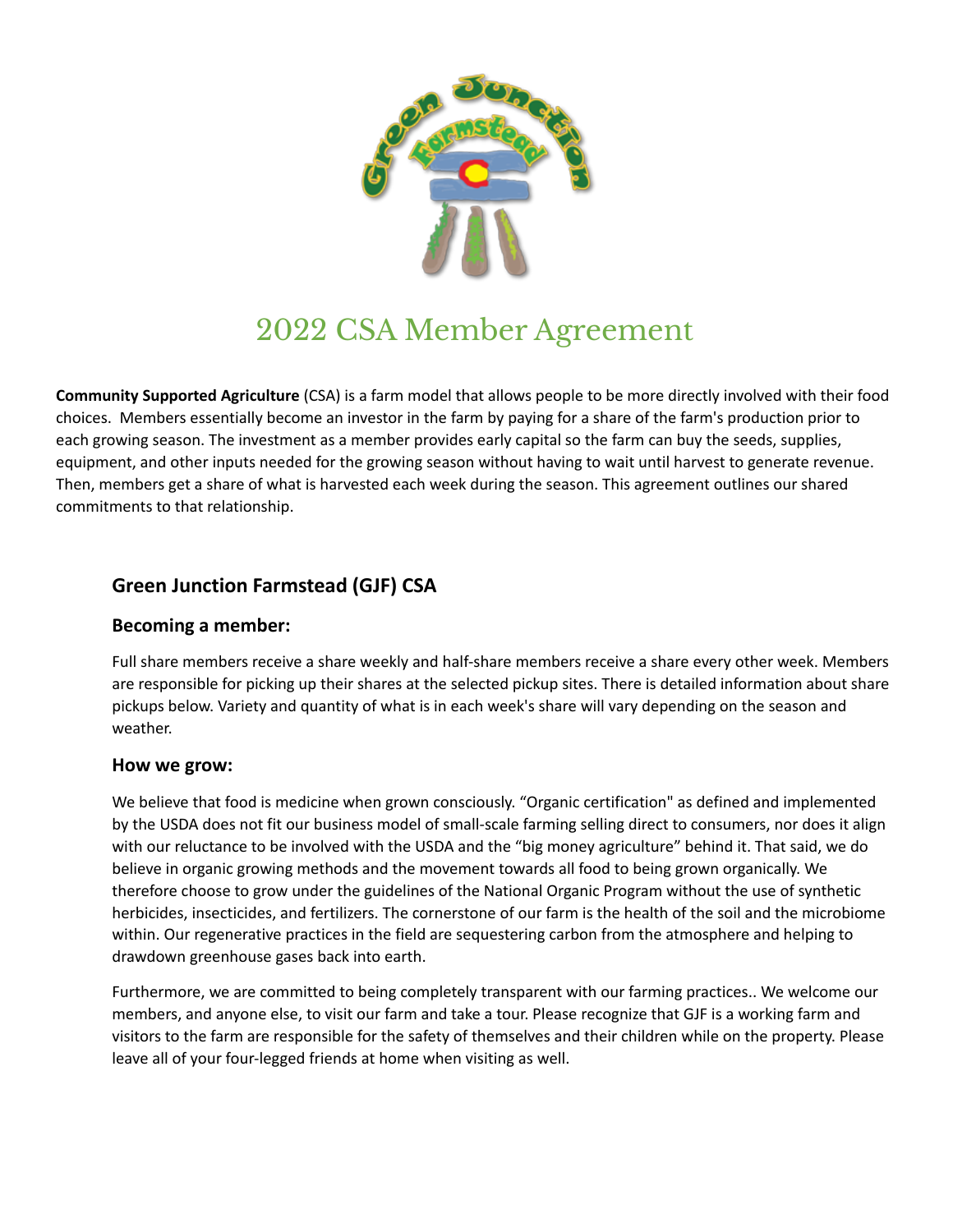

# 2022 CSA Member Agreement

**Community Supported Agriculture** (CSA) is a farm model that allows people to be more directly involved with their food choices. Members essentially become an investor in the farm by paying for a share of the farm's production prior to each growing season. The investment as a member provides early capital so the farm can buy the seeds, supplies, equipment, and other inputs needed for the growing season without having to wait until harvest to generate revenue. Then, members get a share of what is harvested each week during the season. This agreement outlines our shared commitments to that relationship.

# **Green Junction Farmstead (GJF) CSA**

#### **Becoming a member:**

Full share members receive a share weekly and half-share members receive a share every other week. Members are responsible for picking up their shares at the selected pickup sites. There is detailed information about share pickups below. Variety and quantity of what is in each week's share will vary depending on the season and weather.

#### **How we grow:**

We believe that food is medicine when grown consciously. "Organic certification" as defined and implemented by the USDA does not fit our business model of small-scale farming selling direct to consumers, nor does it align with our reluctance to be involved with the USDA and the "big money agriculture" behind it. That said, we do believe in organic growing methods and the movement towards all food to being grown organically. We therefore choose to grow under the guidelines of the National Organic Program without the use of synthetic herbicides, insecticides, and fertilizers. The cornerstone of our farm is the health of the soil and the microbiome within. Our regenerative practices in the field are sequestering carbon from the atmosphere and helping to drawdown greenhouse gases back into earth.

Furthermore, we are committed to being completely transparent with our farming practices.. We welcome our members, and anyone else, to visit our farm and take a tour. Please recognize that GJF is a working farm and visitors to the farm are responsible for the safety of themselves and their children while on the property. Please leave all of your four-legged friends at home when visiting as well.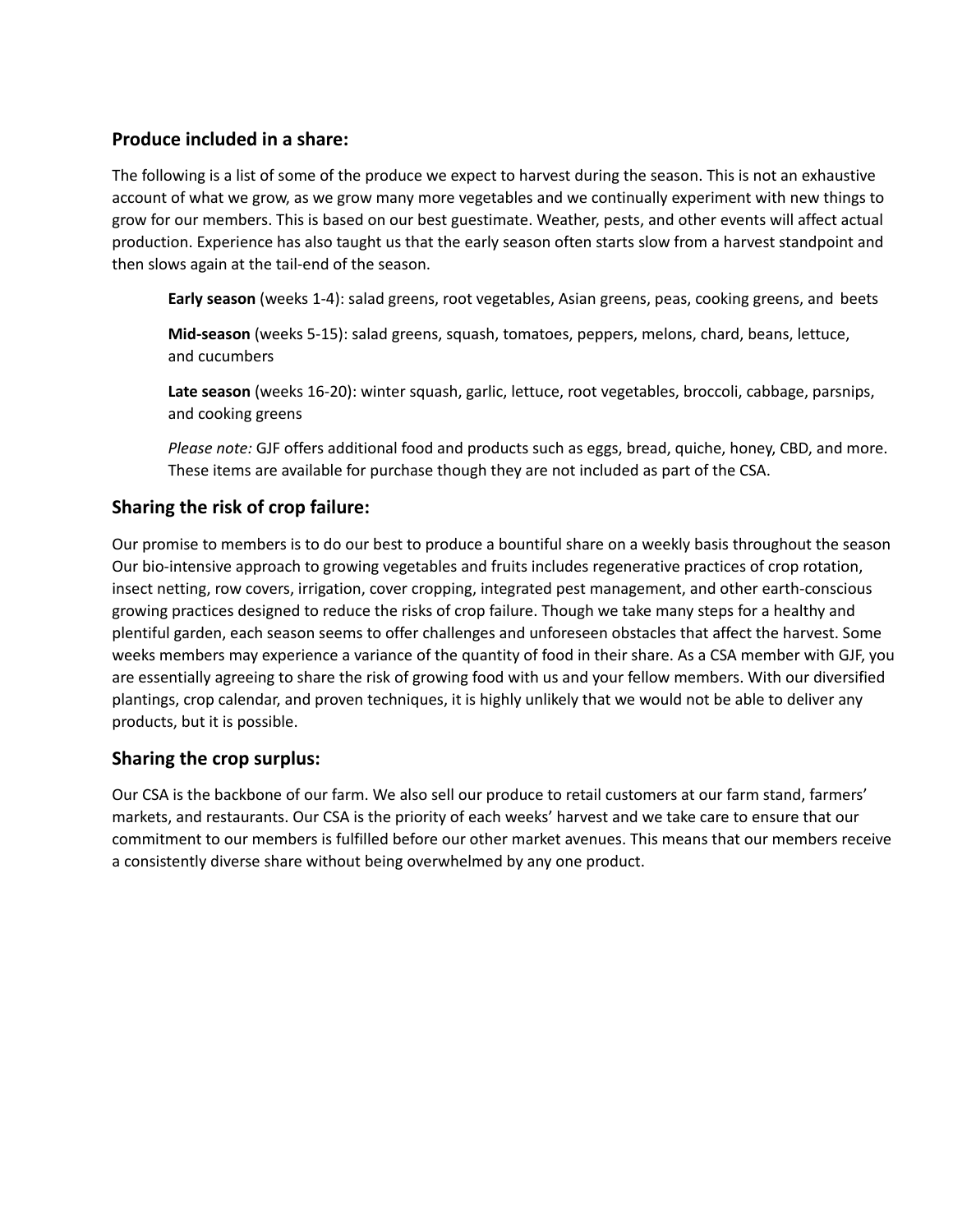# **Produce included in a share:**

The following is a list of some of the produce we expect to harvest during the season. This is not an exhaustive account of what we grow, as we grow many more vegetables and we continually experiment with new things to grow for our members. This is based on our best guestimate. Weather, pests, and other events will affect actual production. Experience has also taught us that the early season often starts slow from a harvest standpoint and then slows again at the tail-end of the season.

**Early season** (weeks 1-4): salad greens, root vegetables, Asian greens, peas, cooking greens, and beets

**Mid-season** (weeks 5-15): salad greens, squash, tomatoes, peppers, melons, chard, beans, lettuce, and cucumbers

**Late season** (weeks 16-20): winter squash, garlic, lettuce, root vegetables, broccoli, cabbage, parsnips, and cooking greens

*Please note:* GJF offers additional food and products such as eggs, bread, quiche, honey, CBD, and more. These items are available for purchase though they are not included as part of the CSA.

## **Sharing the risk of crop failure:**

Our promise to members is to do our best to produce a bountiful share on a weekly basis throughout the season Our bio-intensive approach to growing vegetables and fruits includes regenerative practices of crop rotation, insect netting, row covers, irrigation, cover cropping, integrated pest management, and other earth-conscious growing practices designed to reduce the risks of crop failure. Though we take many steps for a healthy and plentiful garden, each season seems to offer challenges and unforeseen obstacles that affect the harvest. Some weeks members may experience a variance of the quantity of food in their share. As a CSA member with GJF, you are essentially agreeing to share the risk of growing food with us and your fellow members. With our diversified plantings, crop calendar, and proven techniques, it is highly unlikely that we would not be able to deliver any products, but it is possible.

## **Sharing the crop surplus:**

Our CSA is the backbone of our farm. We also sell our produce to retail customers at our farm stand, farmers' markets, and restaurants. Our CSA is the priority of each weeks' harvest and we take care to ensure that our commitment to our members is fulfilled before our other market avenues. This means that our members receive a consistently diverse share without being overwhelmed by any one product.